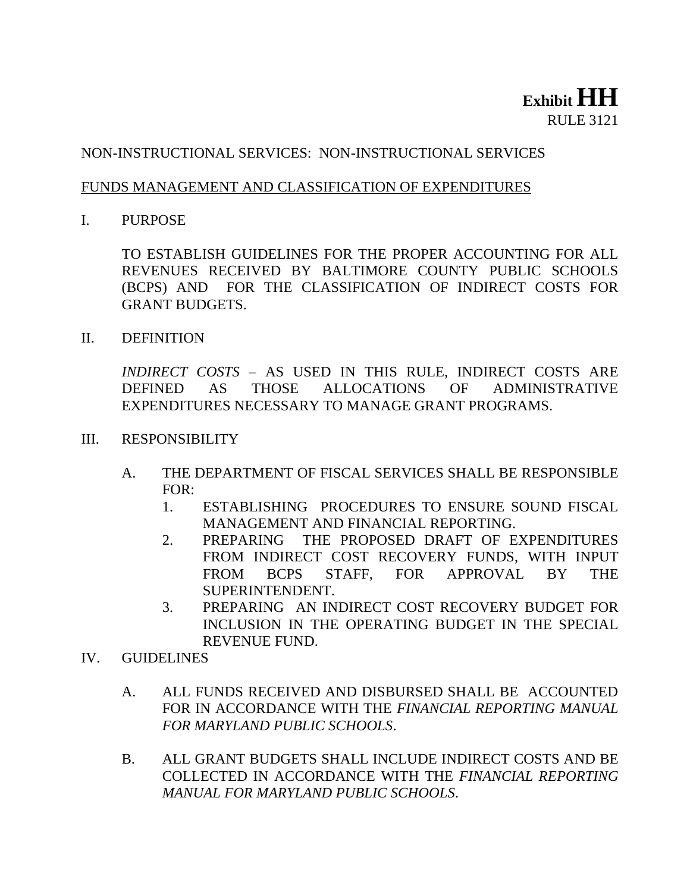## **Exhibit HH** RULE 3121

## NON-INSTRUCTIONAL SERVICES: NON-INSTRUCTIONAL SERVICES

## FUNDS MANAGEMENT AND CLASSIFICATION OF EXPENDITURES

I. PURPOSE

TO ESTABLISH GUIDELINES FOR THE PROPER ACCOUNTING FOR ALL REVENUES RECEIVED BY BALTIMORE COUNTY PUBLIC SCHOOLS (BCPS) AND FOR THE CLASSIFICATION OF INDIRECT COSTS FOR GRANT BUDGETS.

II. DEFINITION

*INDIRECT COSTS* – AS USED IN THIS RULE, INDIRECT COSTS ARE DEFINED AS THOSE ALLOCATIONS OF ADMINISTRATIVE EXPENDITURES NECESSARY TO MANAGE GRANT PROGRAMS.

- III. RESPONSIBILITY
	- A. THE DEPARTMENT OF FISCAL SERVICES SHALL BE RESPONSIBLE FOR:
		- 1. ESTABLISHING PROCEDURES TO ENSURE SOUND FISCAL MANAGEMENT AND FINANCIAL REPORTING.
		- 2. PREPARING THE PROPOSED DRAFT OF EXPENDITURES FROM INDIRECT COST RECOVERY FUNDS, WITH INPUT FROM BCPS STAFF, FOR APPROVAL BY THE SUPERINTENDENT.
		- 3. PREPARING AN INDIRECT COST RECOVERY BUDGET FOR INCLUSION IN THE OPERATING BUDGET IN THE SPECIAL REVENUE FUND.
- IV. GUIDELINES
	- A. ALL FUNDS RECEIVED AND DISBURSED SHALL BE ACCOUNTED FOR IN ACCORDANCE WITH THE *FINANCIAL REPORTING MANUAL FOR MARYLAND PUBLIC SCHOOLS*.
	- B. ALL GRANT BUDGETS SHALL INCLUDE INDIRECT COSTS AND BE COLLECTED IN ACCORDANCE WITH THE *FINANCIAL REPORTING MANUAL FOR MARYLAND PUBLIC SCHOOLS*.